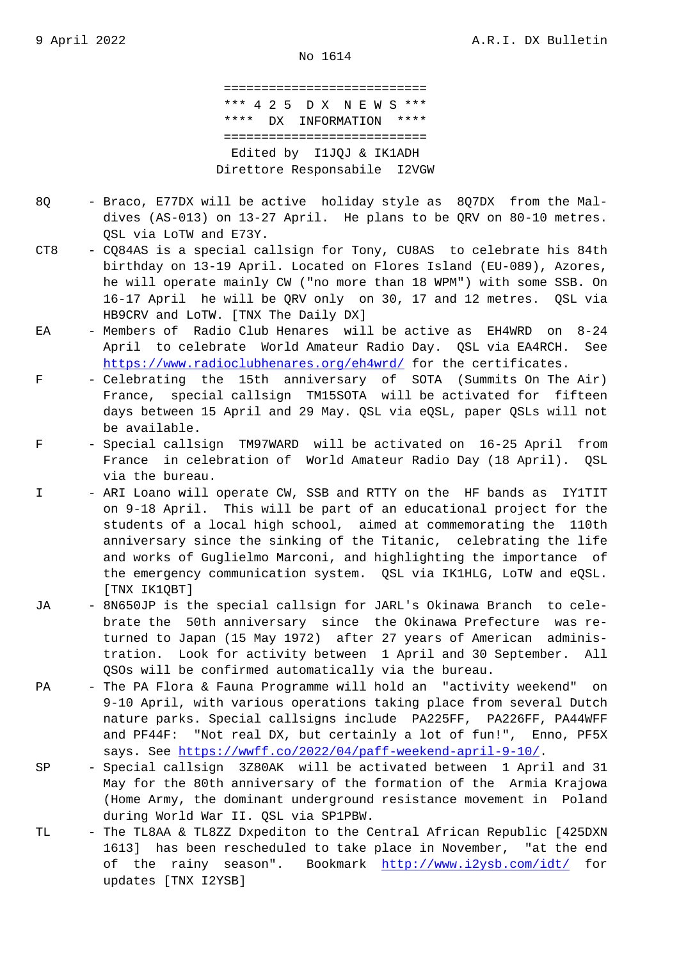=========================== \*\*\* 4 2 5 D X N E W S \*\*\* \*\*\*\* DX INFORMATION \*\*\*\* =========================== Edited by I1JQJ & IK1ADH Direttore Responsabile I2VGW

- 8Q Braco, E77DX will be active holiday style as 8Q7DX from the Mal dives (AS-013) on 13-27 April. He plans to be QRV on 80-10 metres. QSL via LoTW and E73Y.
- CT8 CQ84AS is a special callsign for Tony, CU8AS to celebrate his 84th birthday on 13-19 April. Located on Flores Island (EU-089), Azores, he will operate mainly CW ("no more than 18 WPM") with some SSB. On 16-17 April he will be QRV only on 30, 17 and 12 metres. QSL via HB9CRV and LoTW. [TNX The Daily DX]
- EA Members of Radio Club Henares will be active as EH4WRD on 8-24 April to celebrate World Amateur Radio Day. QSL via EA4RCH. See https://www.radioclubhenares.org/eh4wrd/ for the certificates.
- F Celebrating the 15th anniversary of SOTA (Summits On The Air) France, special callsign TM15SOTA will be activated for fifteen [days between 15 April and 29 May. QSL via](https://www.radioclubhenares.org/eh4wrd/) eQSL, paper QSLs will not be available.
- F Special callsign TM97WARD will be activated on 16-25 April from France in celebration of World Amateur Radio Day (18 April). QSL via the bureau.
- I ARI Loano will operate CW, SSB and RTTY on the HF bands as IY1TIT on 9-18 April. This will be part of an educational project for the students of a local high school, aimed at commemorating the 110th anniversary since the sinking of the Titanic, celebrating the life and works of Guglielmo Marconi, and highlighting the importance of the emergency communication system. QSL via IK1HLG, LoTW and eQSL. [TNX IK1QBT]
- JA 8N650JP is the special callsign for JARL's Okinawa Branch to cele brate the 50th anniversary since the Okinawa Prefecture was re turned to Japan (15 May 1972) after 27 years of American adminis tration. Look for activity between 1 April and 30 September. All QSOs will be confirmed automatically via the bureau.
- PA The PA Flora & Fauna Programme will hold an "activity weekend" on 9-10 April, with various operations taking place from several Dutch nature parks. Special callsigns include PA225FF, PA226FF, PA44WFF and PF44F: "Not real DX, but certainly a lot of fun!", Enno, PF5X says. See https://wwff.co/2022/04/paff-weekend-april-9-10/.
- SP Special callsign 3Z80AK will be activated between 1 April and 31 May for the 80th anniversary of the formation of the Armia Krajowa (Home Army[, the dominant underground resistance movement i](https://wwff.co/2022/04/paff-weekend-april-9-10/)n Poland during World War II. QSL via SP1PBW.
- TL The TL8AA & TL8ZZ Dxpediton to the Central African Republic [425DXN 1613] has been rescheduled to take place in November, "at the end of the rainy season". Bookmark http://www.i2ysb.com/idt/ for updates [TNX I2YSB]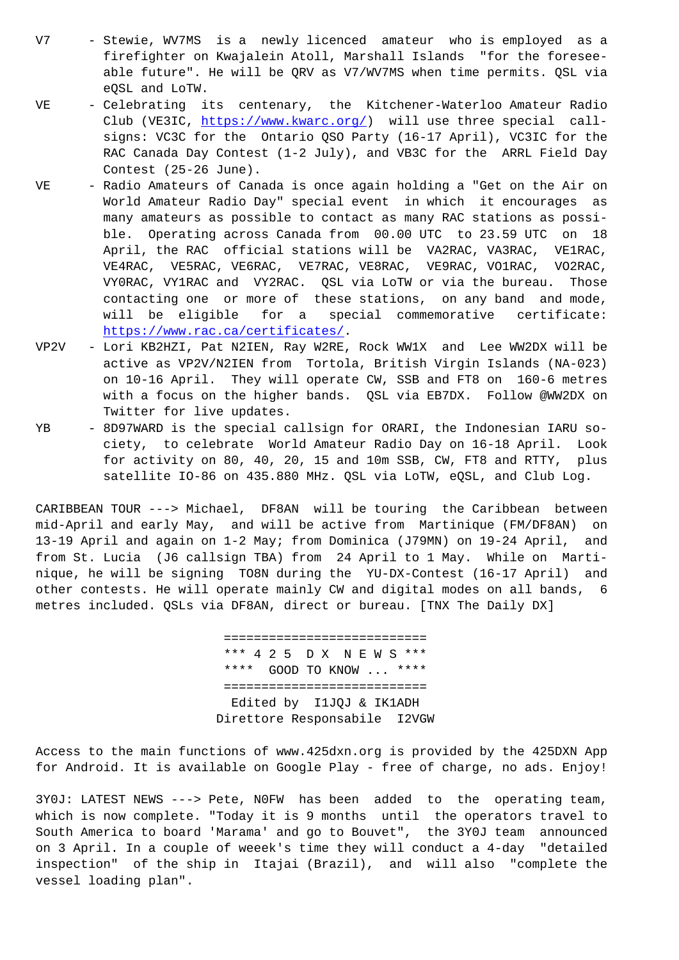firefighter on Kwajalein Atoll, Marshall Islands "for the foresee able future". He will be QRV as V7/WV7MS when time permits. QSL via eQSL and LoTW.

- VE Celebrating its centenary, the Kitchener-Waterloo Amateur Radio Club (VE3IC, https://www.kwarc.org/) will use three special call signs: VC3C for the Ontario QSO Party (16-17 April), VC3IC for the RAC Canada Day Contest (1-2 July), and VB3C for the ARRL Field Day Contest (25-26 June).
- VE Radio Amateu[rs of Canada is once aga](https://www.kwarc.org/)in holding a "Get on the Air on World Amateur Radio Day" special event in which it encourages as many amateurs as possible to contact as many RAC stations as possi ble. Operating across Canada from 00.00 UTC to 23.59 UTC on 18 April, the RAC official stations will be VA2RAC, VA3RAC, VE1RAC, VE4RAC, VE5RAC, VE6RAC, VE7RAC, VE8RAC, VE9RAC, VO1RAC, VO2RAC, VY0RAC, VY1RAC and VY2RAC. QSL via LoTW or via the bureau. Those contacting one or more of these stations, on any band and mode, will be eligible for a special commemorative certificate: https://www.rac.ca/certificates/.
- VP2V Lori KB2HZI, Pat N2IEN, Ray W2RE, Rock WW1X and Lee WW2DX will be active as VP2V/N2IEN from Tortola, British Virgin Islands (NA-023) [on 10-16 April. They will operat](https://www.rac.ca/certificates/)e CW, SSB and FT8 on 160-6 metres with a focus on the higher bands. QSL via EB7DX. Follow @WW2DX on Twitter for live updates.
- YB 8D97WARD is the special callsign for ORARI, the Indonesian IARU so ciety, to celebrate World Amateur Radio Day on 16-18 April. Look for activity on 80, 40, 20, 15 and 10m SSB, CW, FT8 and RTTY, plus satellite IO-86 on 435.880 MHz. QSL via LoTW, eQSL, and Club Log.

CARIBBEAN TOUR ---> Michael, DF8AN will be touring the Caribbean between mid-April and early May, and will be active from Martinique (FM/DF8AN) on 13-19 April and again on 1-2 May; from Dominica (J79MN) on 19-24 April, and from St. Lucia (J6 callsign TBA) from 24 April to 1 May. While on Martinique, he will be signing TO8N during the YU-DX-Contest (16-17 April) and other contests. He will operate mainly CW and digital modes on all bands, 6 metres included. QSLs via DF8AN, direct or bureau. [TNX The Daily DX]

> =========================== \*\*\* 4 2 5 D X N E W S \*\*\* \*\*\*\* GOOD TO KNOW ... \*\*\*\* =========================== Edited by I1JQJ & IK1ADH Direttore Responsabile I2VGW

Access to the main functions of www.425dxn.org is provided by the 425DXN App for Android. It is available on Google Play - free of charge, no ads. Enjoy!

3Y0J: LATEST NEWS ---> Pete, N0FW has been added to the operating team, which is now complete. "Today it is 9 months until the operators travel to South America to board 'Marama' and go to Bouvet", the 3Y0J team announced on 3 April. In a couple of weeek's time they will conduct a 4-day "detailed inspection" of the ship in Itajai (Brazil), and will also "complete the vessel loading plan".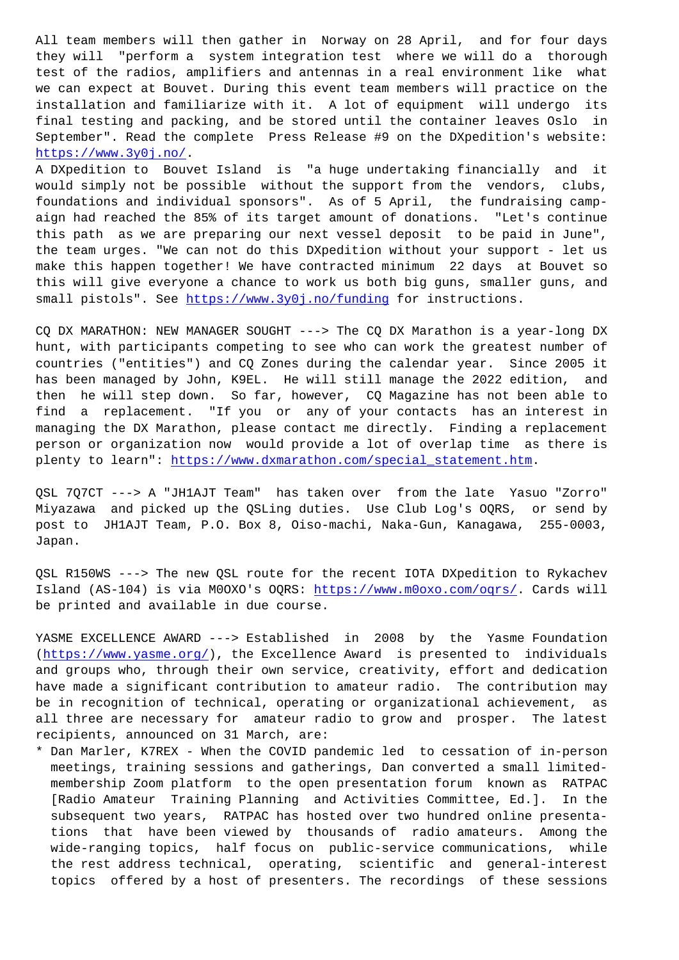they will "perform a system integration test where we will do a thorough test of the radios, amplifiers and antennas in a real environment like what we can expect at Bouvet. During this event team members will practice on the installation and familiarize with it. A lot of equipment will undergo its final testing and packing, and be stored until the container leaves Oslo in September". Read the complete Press Release #9 on the DXpedition's website: https://www.3y0j.no/.

A DXpedition to Bouvet Island is "a huge undertaking financially and it would simply not be possible without the support from the vendors, clubs, [foundations and indi](https://www.3y0j.no/)vidual sponsors". As of 5 April, the fundraising campaign had reached the 85% of its target amount of donations. "Let's continue this path as we are preparing our next vessel deposit to be paid in June", the team urges. "We can not do this DXpedition without your support - let us make this happen together! We have contracted minimum 22 days at Bouvet so this will give everyone a chance to work us both big guns, smaller guns, and small pistols". See https://www.3y0j.no/funding for instructions.

CQ DX MARATHON: NEW MANAGER SOUGHT ---> The CQ DX Marathon is a year-long DX hunt, with participants competing to see who can work the greatest number of countries ("entitie[s"\) and CQ Zones during the](https://www.3y0j.no/funding) calendar year. Since 2005 it has been managed by John, K9EL. He will still manage the 2022 edition, and then he will step down. So far, however, CQ Magazine has not been able to find a replacement. "If you or any of your contacts has an interest in managing the DX Marathon, please contact me directly. Finding a replacement person or organization now would provide a lot of overlap time as there is plenty to learn": https://www.dxmarathon.com/special\_statement.htm.

QSL 7Q7CT ---> A "JH1AJT Team" has taken over from the late Yasuo "Zorro" Miyazawa and picked up the QSLing duties. Use Club Log's OQRS, or send by post to JH1AJT Te[am, P.O. Box 8, Oiso-machi, Naka-Gun, Kanagawa,](https://www.dxmarathon.com/special_statement.htm) 255-0003, Japan.

QSL R150WS ---> The new QSL route for the recent IOTA DXpedition to Rykachev Island (AS-104) is via M0OXO's OQRS: https://www.m0oxo.com/oqrs/. Cards will be printed and available in due course.

YASME EXCELLENCE AWARD ---> Established in 2008 by the Yasme Foundation (https://www.yasme.org/), the Excell[ence Award is presented to](https://www.m0oxo.com/oqrs/) individuals and groups who, through their own service, creativity, effort and dedication have made a significant contribution to amateur radio. The contribution may be in recognition of technical, operating or organizational achievement, as a[ll three are necessary](https://www.yasme.org/) for amateur radio to grow and prosper. The latest recipients, announced on 31 March, are:

\* Dan Marler, K7REX - When the COVID pandemic led to cessation of in-person meetings, training sessions and gatherings, Dan converted a small limited membership Zoom platform to the open presentation forum known as RATPAC [Radio Amateur Training Planning and Activities Committee, Ed.]. In the subsequent two years, RATPAC has hosted over two hundred online presenta tions that have been viewed by thousands of radio amateurs. Among the wide-ranging topics, half focus on public-service communications, while the rest address technical, operating, scientific and general-interest topics offered by a host of presenters. The recordings of these sessions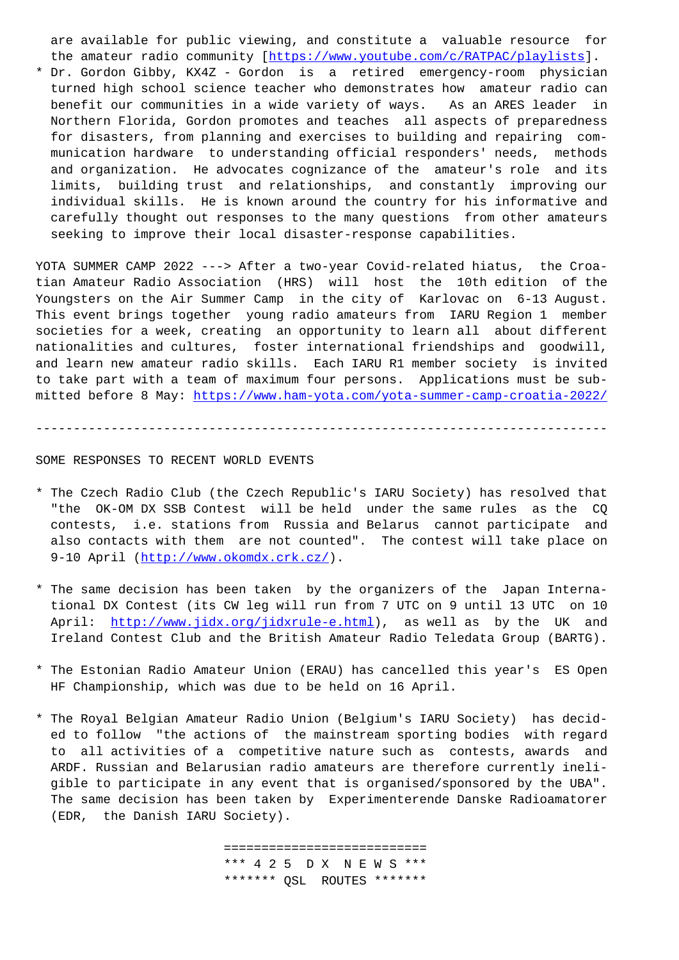the amateur radio community [*iiceps://www.youtube* 

\* Dr. Gordon Gibby, KX4Z - Gordon is a retired emergency-room physician turned high school science teacher who demonstrates how amateur radio can benefit our communities in a [wide variety of ways. As an ARES leader](https://www.youtube.com/c/RATPAC/playlists) in Northern Florida, Gordon promotes and teaches all aspects of preparedness for disasters, from planning and exercises to building and repairing com munication hardware to understanding official responders' needs, methods and organization. He advocates cognizance of the amateur's role and its limits, building trust and relationships, and constantly improving our individual skills. He is known around the country for his informative and carefully thought out responses to the many questions from other amateurs seeking to improve their local disaster-response capabilities.

YOTA SUMMER CAMP 2022 ---> After a two-year Covid-related hiatus, the Croatian Amateur Radio Association (HRS) will host the 10th edition of the Youngsters on the Air Summer Camp in the city of Karlovac on 6-13 August. This event brings together young radio amateurs from IARU Region 1 member societies for a week, creating an opportunity to learn all about different nationalities and cultures, foster international friendships and goodwill, and learn new amateur radio skills. Each IARU R1 member society is invited to take part with a team of maximum four persons. Applications must be submitted before 8 May: https://www.ham-yota.com/yota-summer-camp-croatia-2022/

----------------------------------------------------------------------------

## SOME RESPONSES TO REC[ENT WORLD EVENTS](https://www.ham-yota.com/yota-summer-camp-croatia-2022/)

- \* The Czech Radio Club (the Czech Republic's IARU Society) has resolved that "the OK-OM DX SSB Contest will be held under the same rules as the CQ contests, i.e. stations from Russia and Belarus cannot participate and also contacts with them are not counted". The contest will take place on 9-10 April (http://www.okomdx.crk.cz/).
- \* The same decision has been taken by the organizers of the Japan Interna tional DX Contest (its CW leg will run from 7 UTC on 9 until 13 UTC on 10 April: http[://www.jidx.org/jidxrule-e](http://www.okomdx.crk.cz/).html), as well as by the UK and Ireland Contest Club and the British Amateur Radio Teledata Group (BARTG).
- \* The Est[onian Radio Amateur Union \(ERAU\) has](http://www.jidx.org/jidxrule-e.html) cancelled this year's ES Open HF Championship, which was due to be held on 16 April.
- \* The Royal Belgian Amateur Radio Union (Belgium's IARU Society) has decid ed to follow "the actions of the mainstream sporting bodies with regard to all activities of a competitive nature such as contests, awards and ARDF. Russian and Belarusian radio amateurs are therefore currently ineli gible to participate in any event that is organised/sponsored by the UBA". The same decision has been taken by Experimenterende Danske Radioamatorer (EDR, the Danish IARU Society).

 =========================== \*\*\* 4 2 5 D X N E W S \*\*\* \*\*\*\*\*\*\* QSL ROUTES \*\*\*\*\*\*\*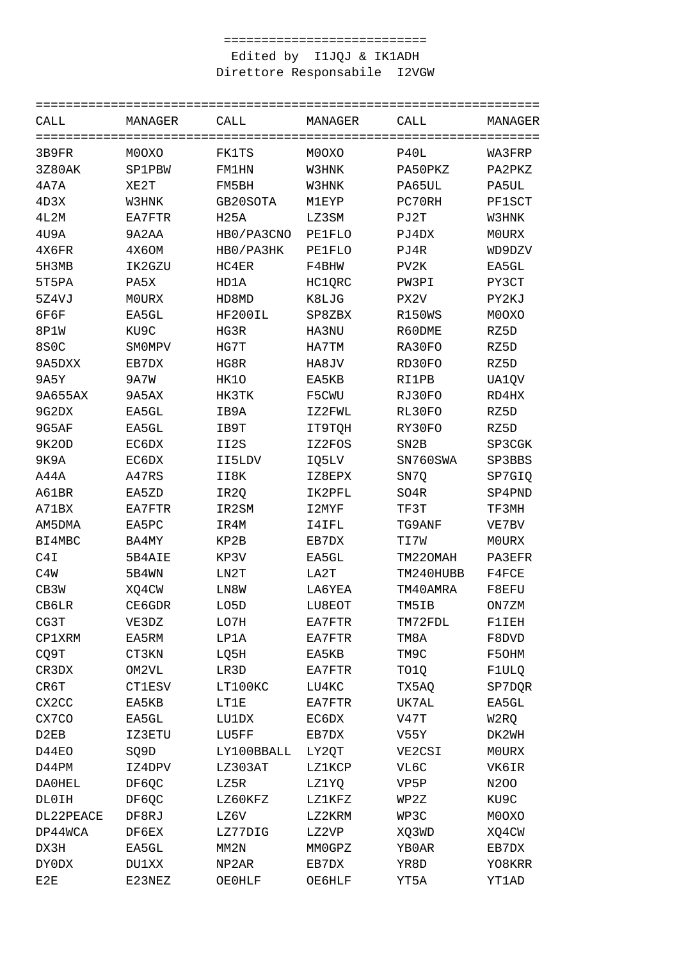## Edited by I1JQJ & IK1ADH Direttore Responsabile I2VGW

| CALL        | MANAGER       | CALL             | MANAGER       | CALL              | MANAGER      |
|-------------|---------------|------------------|---------------|-------------------|--------------|
| 3B9FR       | M0OXO         | FK1TS            | M0OXO         | P40L              | WA3FRP       |
| 3Z80AK      | <b>SP1PBW</b> | FM1HN            | W3HNK         | PA50PKZ           | PA2PKZ       |
| 4A7A        | XE2T          | FM5BH            | W3HNK         | PA65UL            | PA5UL        |
| 4D3X        | W3HNK         | GB20SOTA         | M1EYP         | PC70RH            | PF1SCT       |
| 4L2M        | EA7FTR        | H <sub>25A</sub> | LZ3SM         | PJ2T              | W3HNK        |
| 4U9A        | 9A2AA         | HB0/PA3CNO       | <b>PE1FLO</b> | PJ4DX             | <b>MOURX</b> |
| 4X6FR       | 4X6OM         | HB0/PA3HK        | <b>PE1FLO</b> | PJ4R              | WD9DZV       |
| 5H3MB       | IK2GZU        | HC4ER            | F4BHW         | PV <sub>2</sub> K | EA5GL        |
| 5T5PA       | PA5X          | HD1A             | HC1QRC        | PW3PI             | PY3CT        |
| 5Z4VJ       | M0URX         | HD8MD            | K8LJG         | PX2V              | PY2KJ        |
| 6F6F        | EA5GL         | HF200IL          | SP8ZBX        | R150WS            | M0OXO        |
| 8P1W        | KU9C          | HG3R             | HA3NU         | R60DME            | RZ5D         |
| <b>8S0C</b> | SM0MPV        | HG7T             | HA7TM         | RA30FO            | RZ5D         |
| 9A5DXX      | EB7DX         | HG8R             | HA8JV         | RD30FO            | RZ5D         |
| 9A5Y        | 9A7W          | HK10             | EA5KB         | RI1PB             | UA1QV        |
| 9A655AX     | 9A5AX         | HK3TK            | F5CWU         | RJ30FO            | RD4HX        |
| 9G2DX       | EA5GL         | IB9A             | IZ2FWL        | RL30FO            | RZ5D         |
| 9G5AF       | EA5GL         | IB9T             | IT9TQH        | RY30FO            | RZ5D         |
| 9K20D       | EC6DX         | II2S             | IZ2FOS        | SN <sub>2</sub> B | SP3CGK       |
| 9K9A        | EC6DX         | II5LDV           | IQ5LV         | SN760SWA          | SP3BBS       |
| A44A        | A47RS         | II8K             | IZ8EPX        | SN7Q              | SP7GIQ       |
| A61BR       | EA5ZD         | IR2Q             | IK2PFL        | SO4R              | SP4PND       |
| A71BX       | EA7FTR        | IR2SM            | I2MYF         | TF3T              | TF3MH        |
| AM5DMA      | EA5PC         | IR4M             | I4IFL         | TG9ANF            | VE7BV        |
| BI4MBC      | BA4MY         | KP2B             | EB7DX         | TI7W              | M0URX        |
| C4I         | 5B4AIE        | KP3V             | EA5GL         | TM220MAH          | PA3EFR       |
| C4W         | 5B4WN         | LN2T             | LA2T          | TM240HUBB         | F4FCE        |
| CB3W        | XO4CW         | LN8W             | LA6YEA        | TM40AMRA          | F8EFU        |
| CB6LR       | CE6GDR        | LO5D             | LU8EOT        | TM5IB             | ON7ZM        |
| CG3T        | VE3DZ         | LO7H             | EA7FTR        | TM72FDL           | <b>F1IEH</b> |
| CP1XRM      | EA5RM         | LP1A             | EA7FTR        | TM8A              | F8DVD        |
| CQ9T        | CT3KN         | LQ5H             | EA5KB         | TM9C              | F50HM        |
| CR3DX       | OM2VL         | LR3D             | EA7FTR        | TO1Q              | F1ULQ        |
| CR6T        | CT1ESV        | LT100KC          | LU4KC         | TX5AQ             | SP7DQR       |
| CX2CC       | EA5KB         | LT1E             | EA7FTR        | UK7AL             | EA5GL        |
| CX7CO       | EA5GL         | LU1DX            | EC6DX         | V47T              | W2RQ         |
| D2EB        | IZ3ETU        | LU5FF            | EB7DX         | V55Y              | DK2WH        |
| D44EO       | SQ9D          | LY100BBALL       | LY2QT         | VE2CSI            | M0URX        |
| D44PM       | IZ4DPV        | LZ303AT          | LZ1KCP        | VL6C              | VK6IR        |
| DA0HEL      | DF6QC         | LZ5R             | LZ1YQ         | VP5P              | N200         |
| DL0IH       | DF6QC         | LZ60KFZ          | LZ1KFZ        | WP2Z              | KU9C         |
| DL22PEACE   | DF8RJ         | LZ6V             | LZ2KRM        | WP3C              | M0OXO        |
| DP44WCA     | DF6EX         | LZ77DIG          | LZ2VP         | XQ3WD             | XQ4CW        |
| DX3H        | EA5GL         | MM2N             | MMOGPZ        | YB0AR             | EB7DX        |
| DY0DX       | DU1XX         | NP2AR            | EB7DX         | YR8D              | YO8KRR       |
| E2E         | E23NEZ        | OE0HLF           | OE6HLF        | YT5A              | YT1AD        |
|             |               |                  |               |                   |              |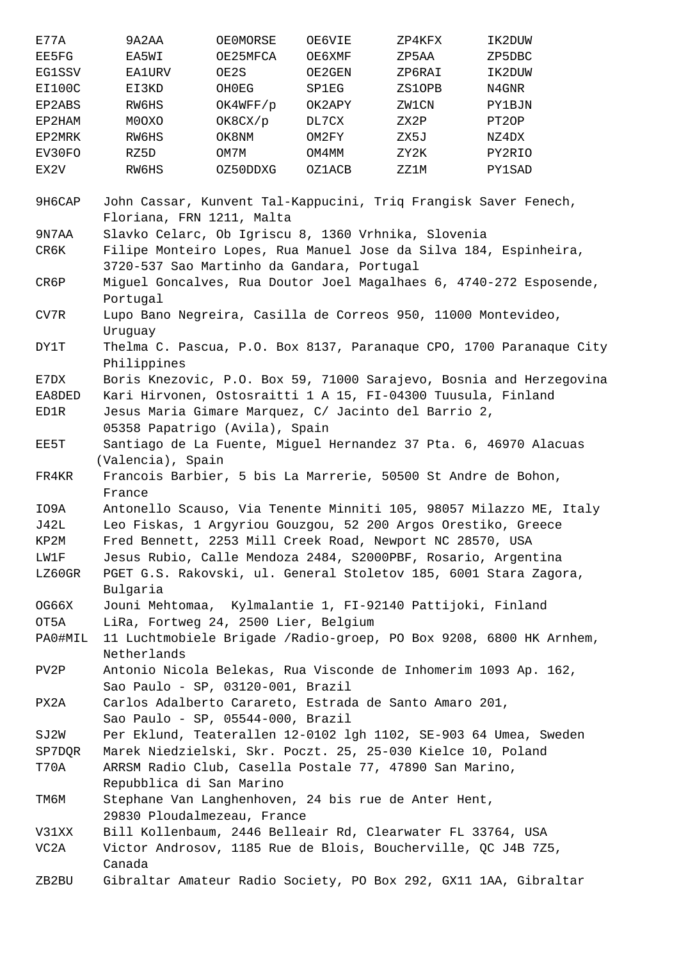| E77A          | 9A2AA         | OE0MORSE | <b>OE6VIE</b> | ZP4KFX | IK2DUW             |
|---------------|---------------|----------|---------------|--------|--------------------|
| EE5FG         | EA5WI         | OE25MFCA | <b>OE6XMF</b> | ZP5AA  | ZP5DBC             |
| <b>EG1SSV</b> | <b>EA1URV</b> | OE2S     | OE2GEN        | ZP6RAI | IK2DUW             |
| EI100C        | EI3KD         | OH0EG    | SP1EG         | ZS1OPB | N4GNR              |
| EP2ABS        | RW6HS         | OK4WFF/p | OK2APY        | ZW1CN  | <b>PY1BJN</b>      |
| EP2HAM        | M0OXO         | OK8CX/p  | DL7CX         | ZX2P   | PT <sub>2</sub> OP |
| EP2MRK        | RW6HS         | OK8NM    | OM2FY         | ZX5J   | NZ4DX              |
| EV30FO        | RZ5D          | OM7M     | OM4MM         | ZY2K   | PY2RIO             |
| EX2V          | RW6HS         | OZ50DDXG | OZ1ACB        | ZZ1M   | PY1SAD             |

9H6CAP John Cassar, Kunvent Tal-Kappucini, Triq Frangisk Saver Fenech, Floriana, FRN 1211, Malta

9N7AA Slavko Celarc, Ob Igriscu 8, 1360 Vrhnika, Slovenia CR6K Filipe Monteiro Lopes, Rua Manuel Jose da Silva 184, Espinheira, 3720-537 Sao Martinho da Gandara, Portugal

CR6P Miguel Goncalves, Rua Doutor Joel Magalhaes 6, 4740-272 Esposende, Portugal

CV7R Lupo Bano Negreira, Casilla de Correos 950, 11000 Montevideo, Uruguay

DY1T Thelma C. Pascua, P.O. Box 8137, Paranaque CPO, 1700 Paranaque City Philippines

E7DX Boris Knezovic, P.O. Box 59, 71000 Sarajevo, Bosnia and Herzegovina

EA8DED Kari Hirvonen, Ostosraitti 1 A 15, FI-04300 Tuusula, Finland ED1R Jesus Maria Gimare Marquez, C/ Jacinto del Barrio 2, 05358 Papatrigo (Avila), Spain

EE5T Santiago de La Fuente, Miguel Hernandez 37 Pta. 6, 46970 Alacuas (Valencia), Spain

FR4KR Francois Barbier, 5 bis La Marrerie, 50500 St Andre de Bohon, France IO9A Antonello Scauso, Via Tenente Minniti 105, 98057 Milazzo ME, Italy

J42L Leo Fiskas, 1 Argyriou Gouzgou, 52 200 Argos Orestiko, Greece KP2M Fred Bennett, 2253 Mill Creek Road, Newport NC 28570, USA

LW1F Jesus Rubio, Calle Mendoza 2484, S2000PBF, Rosario, Argentina

LZ60GR PGET G.S. Rakovski, ul. General Stoletov 185, 6001 Stara Zagora, Bulgaria

OG66X Jouni Mehtomaa, Kylmalantie 1, FI-92140 Pattijoki, Finland

OT5A LiRa, Fortweg 24, 2500 Lier, Belgium

PA0#MIL 11 Luchtmobiele Brigade /Radio-groep, PO Box 9208, 6800 HK Arnhem, Netherlands

PV2P Antonio Nicola Belekas, Rua Visconde de Inhomerim 1093 Ap. 162, Sao Paulo - SP, 03120-001, Brazil

PX2A Carlos Adalberto Carareto, Estrada de Santo Amaro 201, Sao Paulo - SP, 05544-000, Brazil

SJ2W Per Eklund, Teaterallen 12-0102 lgh 1102, SE-903 64 Umea, Sweden

SP7DQR Marek Niedzielski, Skr. Poczt. 25, 25-030 Kielce 10, Poland

T70A ARRSM Radio Club, Casella Postale 77, 47890 San Marino, Repubblica di San Marino

TM6M Stephane Van Langhenhoven, 24 bis rue de Anter Hent, 29830 Ploudalmezeau, France

V31XX Bill Kollenbaum, 2446 Belleair Rd, Clearwater FL 33764, USA VC2A Victor Androsov, 1185 Rue de Blois, Boucherville, QC J4B 7Z5, Canada

ZB2BU Gibraltar Amateur Radio Society, PO Box 292, GX11 1AA, Gibraltar